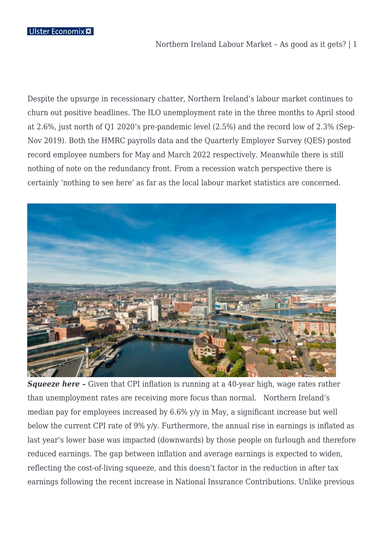## Ulster Economix ※

Northern Ireland Labour Market – As good as it gets? | 1

Despite the upsurge in recessionary chatter, Northern Ireland's labour market continues to churn out positive headlines. The ILO unemployment rate in the three months to April stood at 2.6%, just north of Q1 2020's pre-pandemic level (2.5%) and the record low of 2.3% (Sep-Nov 2019). Both the HMRC payrolls data and the Quarterly Employer Survey (QES) posted record employee numbers for May and March 2022 respectively. Meanwhile there is still nothing of note on the redundancy front. From a recession watch perspective there is certainly 'nothing to see here' as far as the local labour market statistics are concerned.



**Squeeze here -** Given that CPI inflation is running at a 40-year high, wage rates rather than unemployment rates are receiving more focus than normal. Northern Ireland's median pay for employees increased by 6.6% y/y in May, a significant increase but well below the current CPI rate of 9% y/y. Furthermore, the annual rise in earnings is inflated as last year's lower base was impacted (downwards) by those people on furlough and therefore reduced earnings. The gap between inflation and average earnings is expected to widen, reflecting the cost-of-living squeeze, and this doesn't factor in the reduction in after tax earnings following the recent increase in National Insurance Contributions. Unlike previous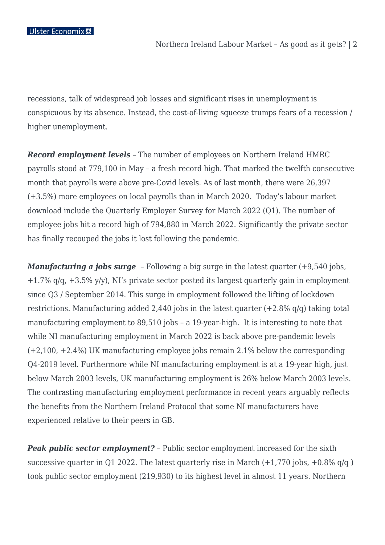recessions, talk of widespread job losses and significant rises in unemployment is conspicuous by its absence. Instead, the cost-of-living squeeze trumps fears of a recession / higher unemployment.

*Record employment levels* – The number of employees on Northern Ireland HMRC payrolls stood at 779,100 in May – a fresh record high. That marked the twelfth consecutive month that payrolls were above pre-Covid levels. As of last month, there were 26,397 (+3.5%) more employees on local payrolls than in March 2020. Today's labour market download include the Quarterly Employer Survey for March 2022 (Q1). The number of employee jobs hit a record high of 794,880 in March 2022. Significantly the private sector has finally recouped the jobs it lost following the pandemic.

*Manufacturing a jobs surge* – Following a big surge in the latest quarter (+9,540 jobs, +1.7% q/q, +3.5% y/y), NI's private sector posted its largest quarterly gain in employment since Q3 / September 2014. This surge in employment followed the lifting of lockdown restrictions. Manufacturing added 2,440 jobs in the latest quarter (+2.8% q/q) taking total manufacturing employment to 89,510 jobs – a 19-year-high. It is interesting to note that while NI manufacturing employment in March 2022 is back above pre-pandemic levels (+2,100, +2.4%) UK manufacturing employee jobs remain 2.1% below the corresponding Q4-2019 level. Furthermore while NI manufacturing employment is at a 19-year high, just below March 2003 levels, UK manufacturing employment is 26% below March 2003 levels. The contrasting manufacturing employment performance in recent years arguably reflects the benefits from the Northern Ireland Protocol that some NI manufacturers have experienced relative to their peers in GB.

**Peak public sector employment?** – Public sector employment increased for the sixth successive quarter in Q1 2022. The latest quarterly rise in March  $(+1,770)$  jobs,  $+0.8\%$  q/q ) took public sector employment (219,930) to its highest level in almost 11 years. Northern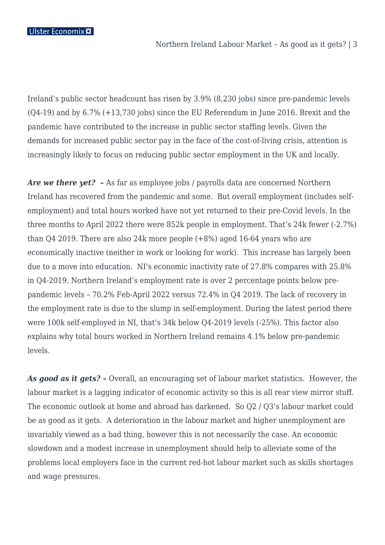Ulster Economix ※

Northern Ireland Labour Market – As good as it gets? | 3

Ireland's public sector headcount has risen by 3.9% (8,230 jobs) since pre-pandemic levels (Q4-19) and by 6.7% (+13,730 jobs) since the EU Referendum in June 2016. Brexit and the pandemic have contributed to the increase in public sector staffing levels. Given the demands for increased public sector pay in the face of the cost-of-living crisis, attention is increasingly likely to focus on reducing public sector employment in the UK and locally.

*Are we there yet? –* As far as employee jobs / payrolls data are concerned Northern Ireland has recovered from the pandemic and some. But overall employment (includes selfemployment) and total hours worked have not yet returned to their pre-Covid levels. In the three months to April 2022 there were 852k people in employment. That's 24k fewer (-2.7%) than Q4 2019. There are also 24k more people (+8%) aged 16-64 years who are economically inactive (neither in work or looking for work). This increase has largely been due to a move into education. NI's economic inactivity rate of 27.8% compares with 25.8% in Q4-2019. Northern Ireland's employment rate is over 2 percentage points below prepandemic levels – 70.2% Feb-April 2022 versus 72.4% in Q4 2019. The lack of recovery in the employment rate is due to the slump in self-employment. During the latest period there were 100k self-employed in NI, that's 34k below Q4-2019 levels (-25%). This factor also explains why total hours worked in Northern Ireland remains 4.1% below pre-pandemic levels.

*As good as it gets? –* Overall, an encouraging set of labour market statistics. However, the labour market is a lagging indicator of economic activity so this is all rear view mirror stuff. The economic outlook at home and abroad has darkened. So Q2 / Q3's labour market could be as good as it gets. A deterioration in the labour market and higher unemployment are invariably viewed as a bad thing, however this is not necessarily the case. An economic slowdown and a modest increase in unemployment should help to alleviate some of the problems local employers face in the current red-hot labour market such as skills shortages and wage pressures.